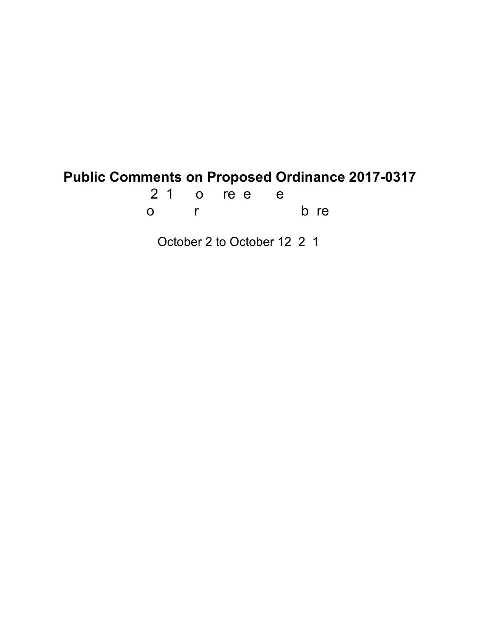# **Public Comments on Proposed Ordinance 2017-0317**

21 o ree e o r bre

October 2 to October 12, 2, 1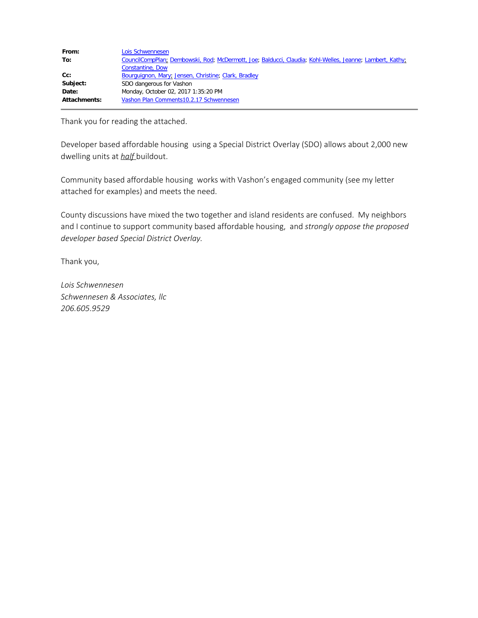| From:        | Lois Schwennesen                                                                                         |  |  |
|--------------|----------------------------------------------------------------------------------------------------------|--|--|
| To:          | CouncilCompPlan; Dembowski, Rod; McDermott, Joe; Balducci, Claudia; Kohl-Welles, Jeanne; Lambert, Kathy; |  |  |
|              | Constantine, Dow                                                                                         |  |  |
| Cc:          | Bourguignon, Mary; Jensen, Christine; Clark, Bradley                                                     |  |  |
| Subject:     | SDO dangerous for Vashon                                                                                 |  |  |
| Date:        | Monday, October 02, 2017 1:35:20 PM                                                                      |  |  |
| Attachments: | Vashon Plan Comments10.2.17 Schwennesen                                                                  |  |  |

Thank you for reading the attached.

Developer based affordable housing using a Special District Overlay (SDO) allows about 2,000 new dwelling units at *half* buildout.

Community based affordable housing works with Vashon's engaged community (see my letter attached for examples) and meets the need.

County discussions have mixed the two together and island residents are confused. My neighbors and I continue to support community based affordable housing, and *strongly oppose the proposed developer based Special District Overlay.*

Thank you,

*Lois Schwennesen Schwennesen & Associates, llc 206.605.9529*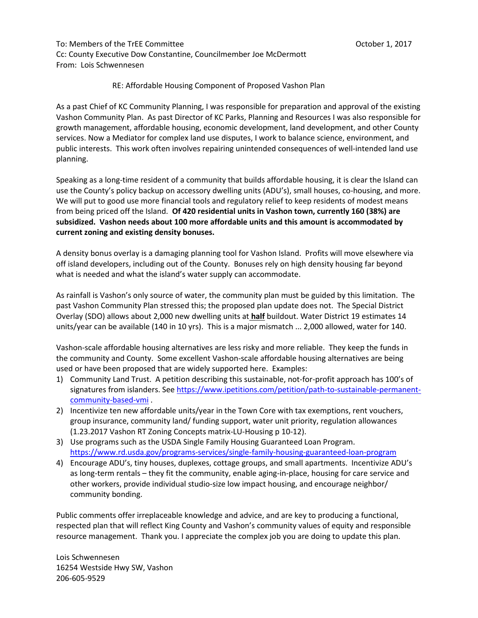To: Members of the TrEE Committee **The Committee Committee Committee Committee** Committee Committee Committee Commi Cc: County Executive Dow Constantine, Councilmember Joe McDermott From: Lois Schwennesen

#### RE: Affordable Housing Component of Proposed Vashon Plan

As a past Chief of KC Community Planning, I was responsible for preparation and approval of the existing Vashon Community Plan. As past Director of KC Parks, Planning and Resources I was also responsible for growth management, affordable housing, economic development, land development, and other County services. Now a Mediator for complex land use disputes, I work to balance science, environment, and public interests. This work often involves repairing unintended consequences of well-intended land use planning.

Speaking as a long-time resident of a community that builds affordable housing, it is clear the Island can use the County's policy backup on accessory dwelling units (ADU's), small houses, co-housing, and more. We will put to good use more financial tools and regulatory relief to keep residents of modest means from being priced off the Island. **Of 420 residential units in Vashon town, currently 160 (38%) are subsidized. Vashon needs about 100 more affordable units and this amount is accommodated by current zoning and existing density bonuses.**

A density bonus overlay is a damaging planning tool for Vashon Island. Profits will move elsewhere via off island developers, including out of the County. Bonuses rely on high density housing far beyond what is needed and what the island's water supply can accommodate.

As rainfall is Vashon's only source of water, the community plan must be guided by this limitation. The past Vashon Community Plan stressed this; the proposed plan update does not. The Special District Overlay (SDO) allows about 2,000 new dwelling units at **half** buildout. Water District 19 estimates 14 units/year can be available (140 in 10 yrs). This is a major mismatch ... 2,000 allowed, water for 140.

Vashon-scale affordable housing alternatives are less risky and more reliable. They keep the funds in the community and County. Some excellent Vashon-scale affordable housing alternatives are being used or have been proposed that are widely supported here. Examples:

- 1) Community Land Trust. A petition describing this sustainable, not-for-profit approach has 100's of signatures from islanders. See [https://www.ipetitions.com/petition/path-to-sustainable-permanent](https://www.ipetitions.com/petition/path-to-sustainable-permanent-community-based-vmi)[community-based-vmi](https://www.ipetitions.com/petition/path-to-sustainable-permanent-community-based-vmi) .
- 2) Incentivize ten new affordable units/year in the Town Core with tax exemptions, rent vouchers, group insurance, community land/ funding support, water unit priority, regulation allowances (1.23.2017 Vashon RT Zoning Concepts matrix-LU-Housing p 10-12).
- 3) Use programs such as the USDA Single Family Housing Guaranteed Loan Program. <https://www.rd.usda.gov/programs-services/single-family-housing-guaranteed-loan-program>
- 4) Encourage ADU's, tiny houses, duplexes, cottage groups, and small apartments. Incentivize ADU's as long-term rentals – they fit the community, enable aging-in-place, housing for care service and other workers, provide individual studio-size low impact housing, and encourage neighbor/ community bonding.

Public comments offer irreplaceable knowledge and advice, and are key to producing a functional, respected plan that will reflect King County and Vashon's community values of equity and responsible resource management. Thank you. I appreciate the complex job you are doing to update this plan.

Lois Schwennesen 16254 Westside Hwy SW, Vashon 206-605-9529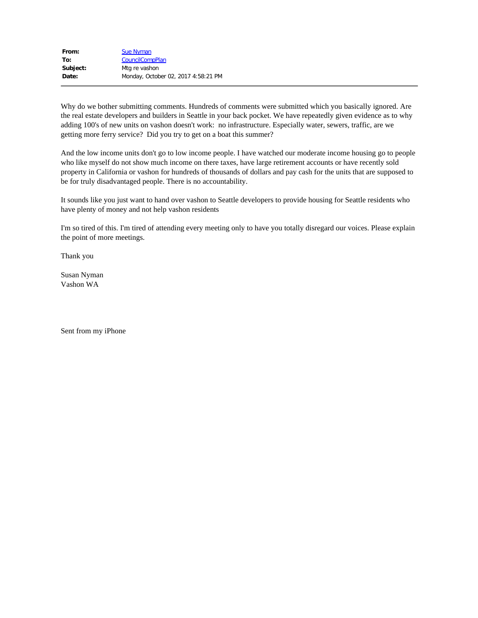| From:    | <b>Sue Nyman</b>                    |
|----------|-------------------------------------|
| To:      | <b>CouncilCompPlan</b>              |
| Subject: | Mtg re vashon                       |
| Date:    | Monday, October 02, 2017 4:58:21 PM |

Why do we bother submitting comments. Hundreds of comments were submitted which you basically ignored. Are the real estate developers and builders in Seattle in your back pocket. We have repeatedly given evidence as to why adding 100's of new units on vashon doesn't work: no infrastructure. Especially water, sewers, traffic, are we getting more ferry service? Did you try to get on a boat this summer?

And the low income units don't go to low income people. I have watched our moderate income housing go to people who like myself do not show much income on there taxes, have large retirement accounts or have recently sold property in California or vashon for hundreds of thousands of dollars and pay cash for the units that are supposed to be for truly disadvantaged people. There is no accountability.

It sounds like you just want to hand over vashon to Seattle developers to provide housing for Seattle residents who have plenty of money and not help vashon residents

I'm so tired of this. I'm tired of attending every meeting only to have you totally disregard our voices. Please explain the point of more meetings.

Thank you

Susan Nyman Vashon WA

Sent from my iPhone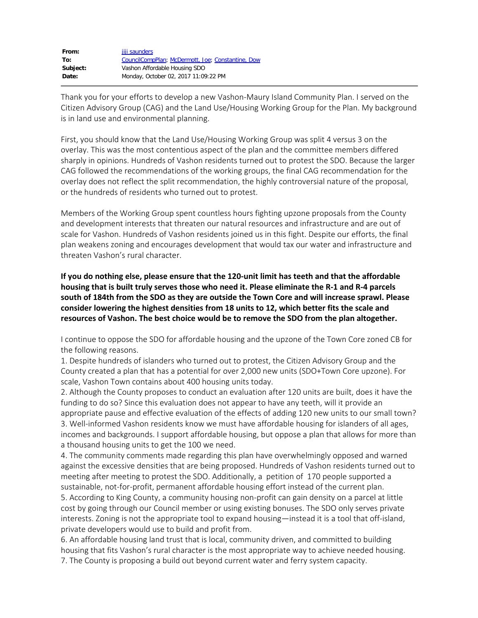| From:    | jiji saunders                                     |
|----------|---------------------------------------------------|
| To:      | CouncilCompPlan; McDermott, Joe; Constantine, Dow |
| Subject: | Vashon Affordable Housing SDO                     |
| Date:    | Monday, October 02, 2017 11:09:22 PM              |

Thank you for your efforts to develop a new Vashon-Maury Island Community Plan. I served on the Citizen Advisory Group (CAG) and the Land Use/Housing Working Group for the Plan. My background is in land use and environmental planning.

First, you should know that the Land Use/Housing Working Group was split 4 versus 3 on the overlay. This was the most contentious aspect of the plan and the committee members differed sharply in opinions. Hundreds of Vashon residents turned out to protest the SDO. Because the larger CAG followed the recommendations of the working groups, the final CAG recommendation for the overlay does not reflect the split recommendation, the highly controversial nature of the proposal, or the hundreds of residents who turned out to protest.

Members of the Working Group spent countless hours fighting upzone proposals from the County and development interests that threaten our natural resources and infrastructure and are out of scale for Vashon. Hundreds of Vashon residents joined us in this fight. Despite our efforts, the final plan weakens zoning and encourages development that would tax our water and infrastructure and threaten Vashon's rural character.

**If you do nothing else, please ensure that the 120-unit limit has teeth and that the affordable housing that is built truly serves those who need it. Please eliminate the R-1 and R-4 parcels south of 184th from the SDO as they are outside the Town Core and will increase sprawl. Please consider lowering the highest densities from 18 units to 12, which better fits the scale and resources of Vashon. The best choice would be to remove the SDO from the plan altogether.**

I continue to oppose the SDO for affordable housing and the upzone of the Town Core zoned CB for the following reasons.

1. Despite hundreds of islanders who turned out to protest, the Citizen Advisory Group and the County created a plan that has a potential for over 2,000 new units (SDO+Town Core upzone). For scale, Vashon Town contains about 400 housing units today.

2. Although the County proposes to conduct an evaluation after 120 units are built, does it have the funding to do so? Since this evaluation does not appear to have any teeth, will it provide an appropriate pause and effective evaluation of the effects of adding 120 new units to our small town? 3. Well-informed Vashon residents know we must have affordable housing for islanders of all ages, incomes and backgrounds. I support affordable housing, but oppose a plan that allows for more than a thousand housing units to get the 100 we need.

4. The community comments made regarding this plan have overwhelmingly opposed and warned against the excessive densities that are being proposed. Hundreds of Vashon residents turned out to meeting after meeting to protest the SDO. Additionally, a petition of 170 people supported a sustainable, not-for-profit, permanent affordable housing effort instead of the current plan. 5. According to King County, a community housing non-profit can gain density on a parcel at little cost by going through our Council member or using existing bonuses. The SDO only serves private interests. Zoning is not the appropriate tool to expand housing—instead it is a tool that off-island, private developers would use to build and profit from.

6. An affordable housing land trust that is local, community driven, and committed to building housing that fits Vashon's rural character is the most appropriate way to achieve needed housing. 7. The County is proposing a build out beyond current water and ferry system capacity.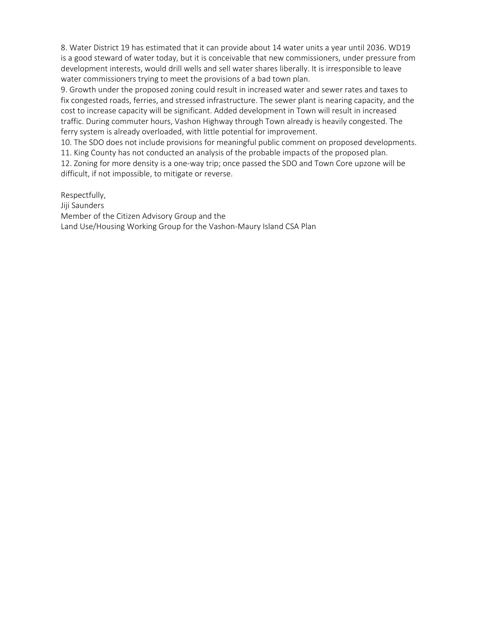8. Water District 19 has estimated that it can provide about 14 water units a year until 2036. WD19 is a good steward of water today, but it is conceivable that new commissioners, under pressure from development interests, would drill wells and sell water shares liberally. It is irresponsible to leave water commissioners trying to meet the provisions of a bad town plan.

9. Growth under the proposed zoning could result in increased water and sewer rates and taxes to fix congested roads, ferries, and stressed infrastructure. The sewer plant is nearing capacity, and the cost to increase capacity will be significant. Added development in Town will result in increased traffic. During commuter hours, Vashon Highway through Town already is heavily congested. The ferry system is already overloaded, with little potential for improvement.

10. The SDO does not include provisions for meaningful public comment on proposed developments. 11. King County has not conducted an analysis of the probable impacts of the proposed plan. 12. Zoning for more density is a one-way trip; once passed the SDO and Town Core upzone will be difficult, if not impossible, to mitigate or reverse.

Respectfully,

Jiji Saunders Member of the Citizen Advisory Group and the Land Use/Housing Working Group for the Vashon-Maury Island CSA Plan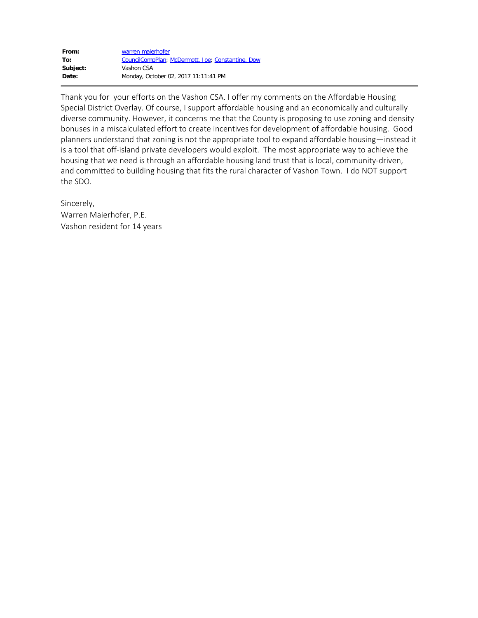| From:    | warren maierhofer                                 |
|----------|---------------------------------------------------|
| To:      | CouncilCompPlan; McDermott, Joe; Constantine, Dow |
| Subject: | Vashon CSA                                        |
| Date:    | Monday, October 02, 2017 11:11:41 PM              |

Thank you for your efforts on the Vashon CSA. I offer my comments on the Affordable Housing Special District Overlay. Of course, I support affordable housing and an economically and culturally diverse community. However, it concerns me that the County is proposing to use zoning and density bonuses in a miscalculated effort to create incentives for development of affordable housing. Good planners understand that zoning is not the appropriate tool to expand affordable housing—instead it is a tool that off-island private developers would exploit. The most appropriate way to achieve the housing that we need is through an affordable housing land trust that is local, community-driven, and committed to building housing that fits the rural character of Vashon Town. I do NOT support the SDO.

Sincerely, Warren Maierhofer, P.E. Vashon resident for 14 years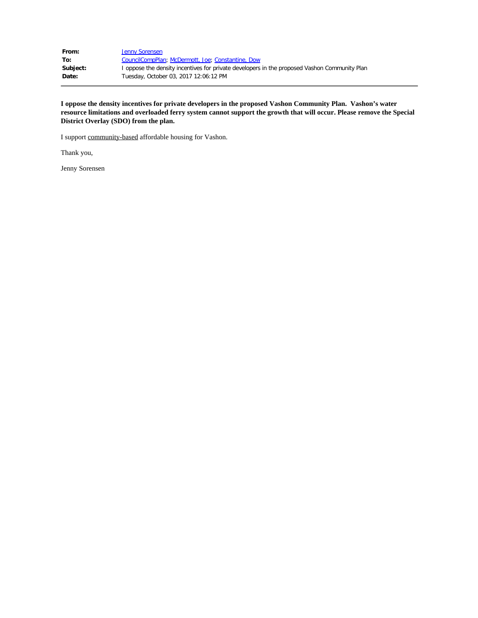| From:    | Jenny Sorensen                                                                               |
|----------|----------------------------------------------------------------------------------------------|
| To:      | CouncilCompPlan; McDermott, Joe; Constantine, Dow                                            |
| Subject: | I oppose the density incentives for private developers in the proposed Vashon Community Plan |
| Date:    | Tuesday, October 03, 2017 12:06:12 PM                                                        |

**I oppose the density incentives for private developers in the proposed Vashon Community Plan. Vashon's water resource limitations and overloaded ferry system cannot support the growth that will occur. Please remove the Special District Overlay (SDO) from the plan.**

I support community-based affordable housing for Vashon.

Thank you,

Jenny Sorensen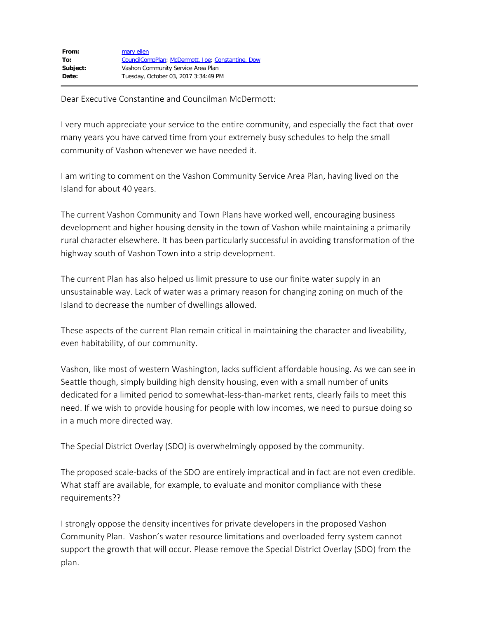Dear Executive Constantine and Councilman McDermott:

I very much appreciate your service to the entire community, and especially the fact that over many years you have carved time from your extremely busy schedules to help the small community of Vashon whenever we have needed it.

I am writing to comment on the Vashon Community Service Area Plan, having lived on the Island for about 40 years.

The current Vashon Community and Town Plans have worked well, encouraging business development and higher housing density in the town of Vashon while maintaining a primarily rural character elsewhere. It has been particularly successful in avoiding transformation of the highway south of Vashon Town into a strip development.

The current Plan has also helped us limit pressure to use our finite water supply in an unsustainable way. Lack of water was a primary reason for changing zoning on much of the Island to decrease the number of dwellings allowed.

These aspects of the current Plan remain critical in maintaining the character and liveability, even habitability, of our community.

Vashon, like most of western Washington, lacks sufficient affordable housing. As we can see in Seattle though, simply building high density housing, even with a small number of units dedicated for a limited period to somewhat-less-than-market rents, clearly fails to meet this need. If we wish to provide housing for people with low incomes, we need to pursue doing so in a much more directed way.

The Special District Overlay (SDO) is overwhelmingly opposed by the community.

The proposed scale-backs of the SDO are entirely impractical and in fact are not even credible. What staff are available, for example, to evaluate and monitor compliance with these requirements??

I strongly oppose the density incentives for private developers in the proposed Vashon Community Plan. Vashon's water resource limitations and overloaded ferry system cannot support the growth that will occur. Please remove the Special District Overlay (SDO) from the plan.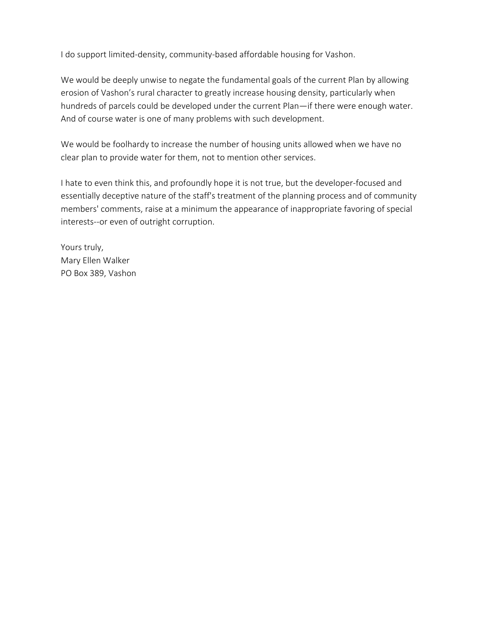I do support limited-density, community-based affordable housing for Vashon.

We would be deeply unwise to negate the fundamental goals of the current Plan by allowing erosion of Vashon's rural character to greatly increase housing density, particularly when hundreds of parcels could be developed under the current Plan—if there were enough water. And of course water is one of many problems with such development.

We would be foolhardy to increase the number of housing units allowed when we have no clear plan to provide water for them, not to mention other services.

I hate to even think this, and profoundly hope it is not true, but the developer-focused and essentially deceptive nature of the staff's treatment of the planning process and of community members' comments, raise at a minimum the appearance of inappropriate favoring of special interests--or even of outright corruption.

Yours truly, Mary Ellen Walker PO Box 389, Vashon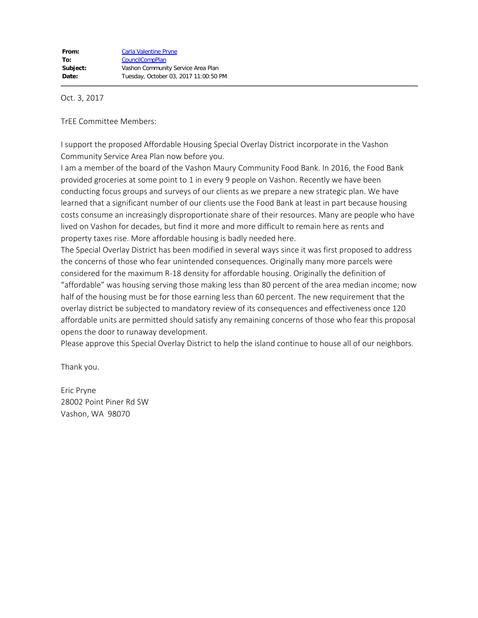Oct. 3, 2017

TrEE Committee Members:

I support the proposed Affordable Housing Special Overlay District incorporate in the Vashon Community Service Area Plan now before you.

I am a member of the board of the Vashon Maury Community Food Bank. In 2016, the Food Bank provided groceries at some point to 1 in every 9 people on Vashon. Recently we have been conducting focus groups and surveys of our clients as we prepare a new strategic plan. We have learned that a significant number of our clients use the Food Bank at least in part because housing costs consume an increasingly disproportionate share of their resources. Many are people who have lived on Vashon for decades, but find it more and more difficult to remain here as rents and property taxes rise. More affordable housing is badly needed here.

The Special Overlay District has been modified in several ways since it was first proposed to address the concerns of those who fear unintended consequences. Originally many more parcels were considered for the maximum R-18 density for affordable housing. Originally the definition of "affordable" was housing serving those making less than 80 percent of the area median income; now half of the housing must be for those earning less than 60 percent. The new requirement that the overlay district be subjected to mandatory review of its consequences and effectiveness once 120 affordable units are permitted should satisfy any remaining concerns of those who fear this proposal opens the door to runaway development.

Please approve this Special Overlay District to help the island continue to house all of our neighbors.

Thank you.

Eric Pryne 28002 Point Piner Rd SW Vashon, WA 98070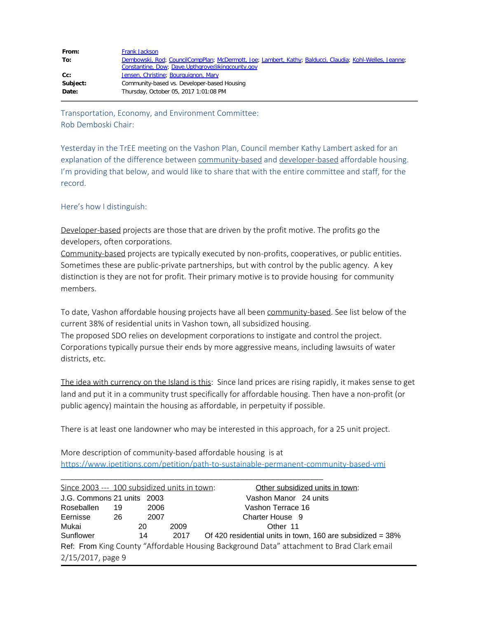| From:    | Frank Jackson                                                                                            |
|----------|----------------------------------------------------------------------------------------------------------|
| To:      | Dembowski, Rod; CouncilCompPlan; McDermott, Joe; Lambert, Kathy; Balducci, Claudia; Kohl-Welles, Jeanne; |
|          | Constantine, Dow; Dave.Upthgrove@kingcounty.gov                                                          |
| Cc:      | Jensen, Christine; Bourguignon, Mary                                                                     |
| Subject: | Community-based vs. Developer-based Housing                                                              |
| Date:    | Thursday, October 05, 2017 1:01:08 PM                                                                    |

Transportation, Economy, and Environment Committee: Rob Demboski Chair:

Yesterday in the TrEE meeting on the Vashon Plan, Council member Kathy Lambert asked for an explanation of the difference between community-based and developer-based affordable housing. I'm providing that below, and would like to share that with the entire committee and staff, for the record.

#### Here's how I distinguish:

Developer-based projects are those that are driven by the profit motive. The profits go the developers, often corporations.

Community-based projects are typically executed by non-profits, cooperatives, or public entities. Sometimes these are public-private partnerships, but with control by the public agency. A key distinction is they are not for profit. Their primary motive is to provide housing for community members.

To date, Vashon affordable housing projects have all been community-based. See list below of the current 38% of residential units in Vashon town, all subsidized housing. The proposed SDO relies on development corporations to instigate and control the project. Corporations typically pursue their ends by more aggressive means, including lawsuits of water districts, etc.

The idea with currency on the Island is this: Since land prices are rising rapidly, it makes sense to get land and put it in a community trust specifically for affordable housing. Then have a non-profit (or public agency) maintain the housing as affordable, in perpetuity if possible.

There is at least one landowner who may be interested in this approach, for a 25 unit project.

| More description of community-based affordable housing is at                          |  |
|---------------------------------------------------------------------------------------|--|
| https://www.ipetitions.com/petition/path-to-sustainable-permanent-community-based-vmi |  |

| Since 2003 --- 100 subsidized units in town: |     |      |      | Other subsidized units in town:                                                           |
|----------------------------------------------|-----|------|------|-------------------------------------------------------------------------------------------|
| J.G. Commons 21 units 2003                   |     |      |      | Vashon Manor 24 units                                                                     |
| Roseballen                                   | 19  | 2006 |      | Vashon Terrace 16                                                                         |
| Eernisse                                     | -26 | 2007 |      | Charter House 9                                                                           |
| Mukai                                        |     | 20   | 2009 | Other 11                                                                                  |
| Sunflower                                    |     | 14   | 2017 | Of 420 residential units in town, 160 are subsidized = 38%                                |
|                                              |     |      |      | Ref: From King County "Affordable Housing Background Data" attachment to Brad Clark email |
| 2/15/2017, page 9                            |     |      |      |                                                                                           |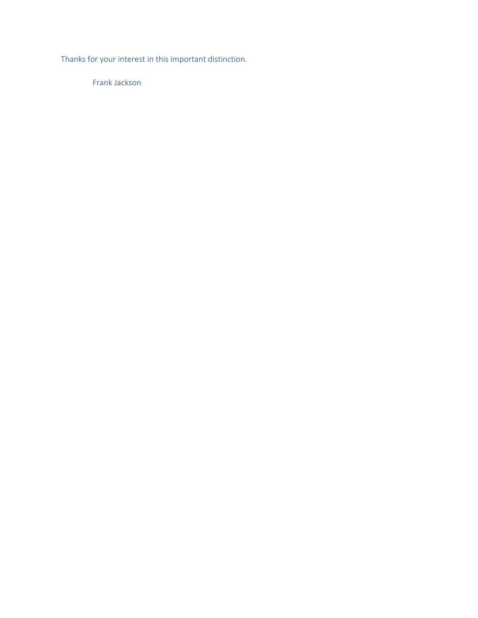Thanks for your interest in this important distinction.

Frank Jackson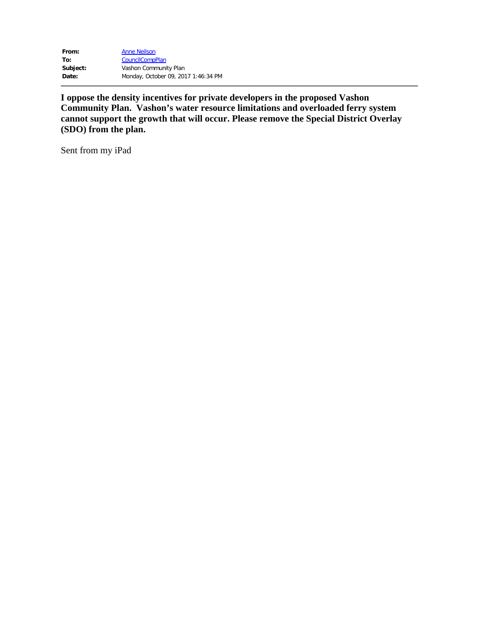| From:    | <b>Anne Neilson</b>                 |
|----------|-------------------------------------|
| To:      | <b>CouncilCompPlan</b>              |
| Subject: | Vashon Community Plan               |
| Date:    | Monday, October 09, 2017 1:46:34 PM |

**I oppose the density incentives for private developers in the proposed Vashon Community Plan. Vashon's water resource limitations and overloaded ferry system cannot support the growth that will occur. Please remove the Special District Overlay (SDO) from the plan.**

Sent from my iPad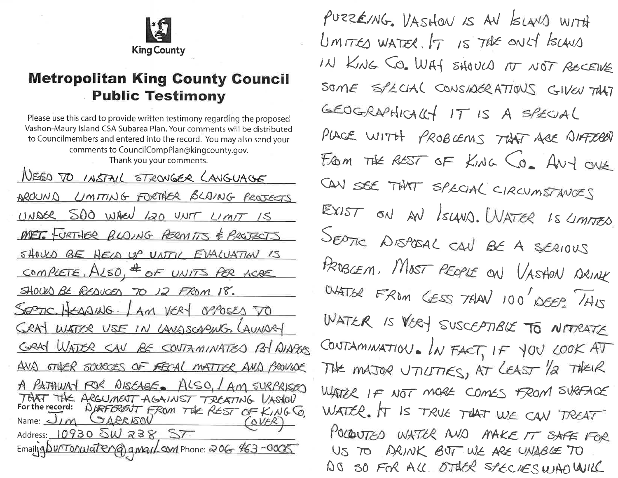

## **Metropolitan King County Council Public Testimony**

Please use this card to provide written testimony regarding the proposed Vashon-Maury Island CSA Subarea Plan. Your comments will be distributed to Councilmembers and entered into the record. You may also send your comments to CouncilCompPlan@kingcounty.gov. Thank you your comments.

NEED TO INSTAIL STRONGER LAUGUAGE AROUND LIMITING FORTHER BLAING PROJECTS UNDER 500 WHEN LOO UNIT LIMIT IS MET. FURTHER BLOING PERMITS & PROJECTS SHOULD BE HELD UP UNTIL EVALUATION IS COMPLETE, ALSO, <sup>4</sup> OF UNITS PER ACRE SHOULD BE REDUCED TO 12 FROM 18. SEPTIC HEADING. LAM VERY OPPOSES TO CRAY WATER USE IN LANDSCAPING, LAUNARY GRAY WATER CAN BE CONTAMINATED BY AIAPAS AND STUER SOURCES OF FECAL MATTER AND PROVIDE A PATHWAT FOR DISEASE. ALSO, AM SURPRISED THAT THE ARGUMENT AGAINST TREATING VASHOV For the record: DUFFORENT FROM THE REST OF KING CO.<br>Name: JIM GAPRISON (OVER) Address: 10930 SW 238 ST. Emailig DU/TOAWGTEMG) gmail.com Phone: 206 463-0005

PURZENNG. VASHON IS AN ISLAND WITH UMITES WATER. IT IS THE ONLY ISCANS IN KING CO. WAY SHOULD IT NOT RECEIVE SOME SPECIAL CONSIDERATIONS GIVEN THAT GEOGRAPHICALLY IT IS A SPECIAL PLACE WITH PROBLEMS THAT ARE DIFFERENT FROM THE REST OF KING CO. ANY ONE CAN SEE THAT SPECIAL CIRCUMSTANCES EXIST ON AN ISLAND. WATER IS LIMITED. SEPTIC DISPOSAL CAN BE A SERIOUS PROBLEM. MOST PEOPLE ON VASHON DRINK WATER FROM CESS THAN 100 DEEP. THIS WATER IS VERY SUSCEPTIBLE TO NITRATE CONTAMINATION. IN FACT, IF YOU LOOK AT THE MAJOR UTILITIES, AT LEAST 12 THEIR WATER IF NOT MORE COMES FROM SURFACE WATER. IT Is TRUE THAT WE CAN TREAT POLOUTED WATER AND MAKE IT SAFE FOR US TO ARINK BUT WE ARE UNABLE TO AD SO FOR ALL OTHER SPECIES WAD WILL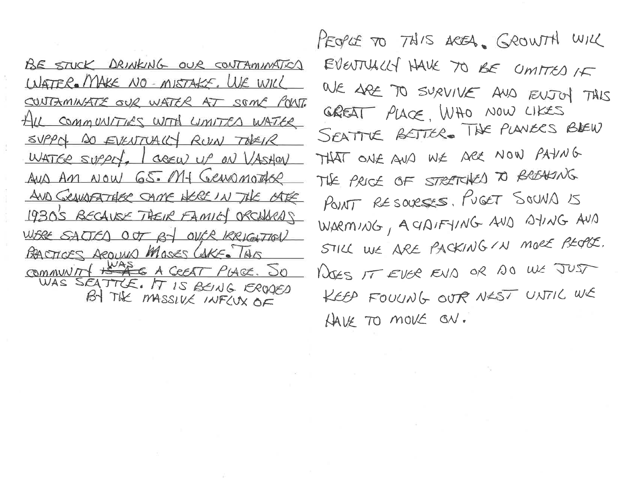BE STUCK DRINKING OUR CONTAMINATION WATER. MAKE NO - MISTAKE, WE WILL CONTAMINATE OUR WATER AT SOME POINT. HILL COMMUNITIES WITH LIMITED WATER SUPPOL DO EVENTUALLY ROUN TODEIR WATER SUPPLY, I GREW UP ON VASHON AUD AM NOW G5. Mf Gewanother AND GRANDFATHER SAME WERE IN THE OFFER 1930's BECAUSE THEIR FAMILY ORCHARDS WERE SALTED OUT BY OUCK KRIGHTION BACTICES AROUND MOSES CAKE. THIS COMMUNITY HEADER A COEAT PLACE. SO BY THE MASSIVE INFLUX OF

PEOPLE TO THIS AREA. GROWTH WILL EVENTUALLY HAVE TO BE CIMITED IF WE ARE TO SURVIVE AND ENJOY THIS GREAT PLACE. WHO NOW LIKES SEATTLE BETTER. THE PLANERS BLEW THAT ONE AND WE ARE NOW PAYNG THE PRICE OF STRETCHED TO BREAKING POINT RESOURSES, PUGET SOUND IS WARMING, A CIDIFYING AND AYING AND STILL WE ARE PACKING IN MORE PEOPLE. NOSS IT EVER EVID OR DO WE JUST KEEP FOULING OUT NEST UNTIL WE HAVE TO MOVE ON.

 $\mathcal{O}(\mathbb{R}^n)$  , we have a set of the set of the set of the set of the set of the set of the set of the set of the set of the set of the set of the set of the set of the set of the set of the set of the set of the set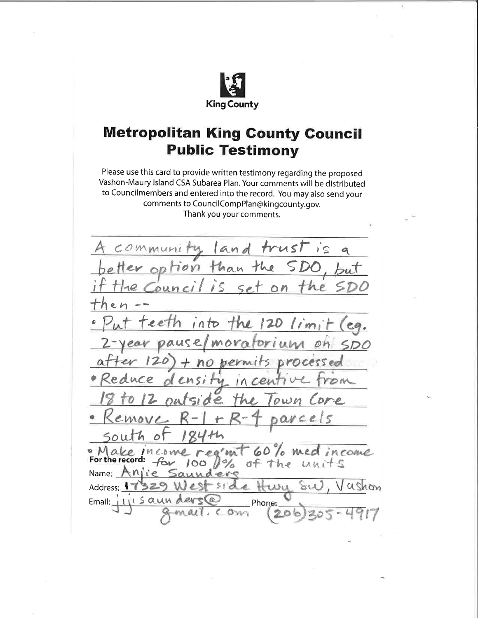

## **Metropolitan King County Council Public Testimony**

Please use this card to provide written testimony regarding the proposed Vashon-Maury Island CSA Subarea Plan. Your comments will be distributed to Councilmembers and entered into the record. You may also send your comments to CouncilCompPlan@kingcounty.gov. Thank you your comments.

trusl  $and$  $\overline{1}$ ۹  $70<sub>N</sub>$ nan On  $\rho$   $l$  $e$ eth into  $120$  $(im)$ The  $eq.$ ause  $Dr1$ un MOV on s proce  $nQ$  $50$ og'mi • M ake INCOMO come 6 **MA** For the record:  $f_{\text{ov}}$  $\sigma$ f LALA h e Name:  $Anife$ ashon Address:  $\lambda$ des  $271$ A.RN Email: Phone: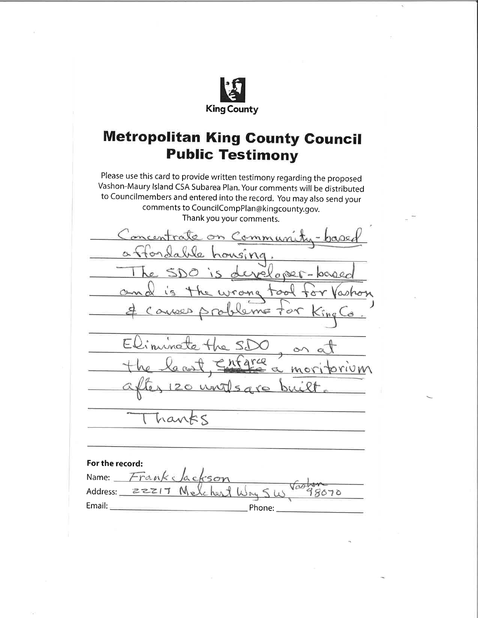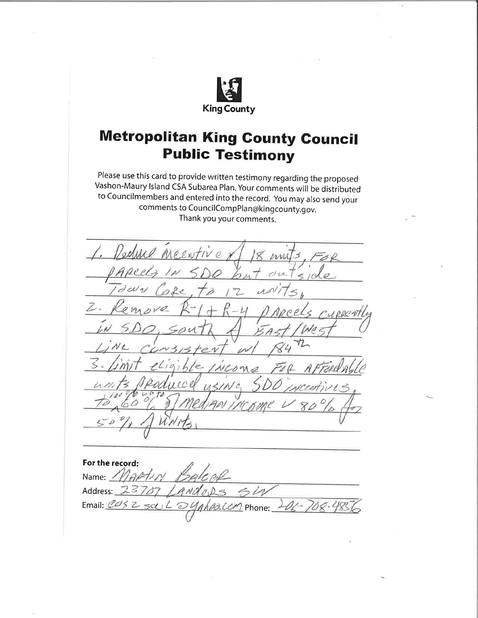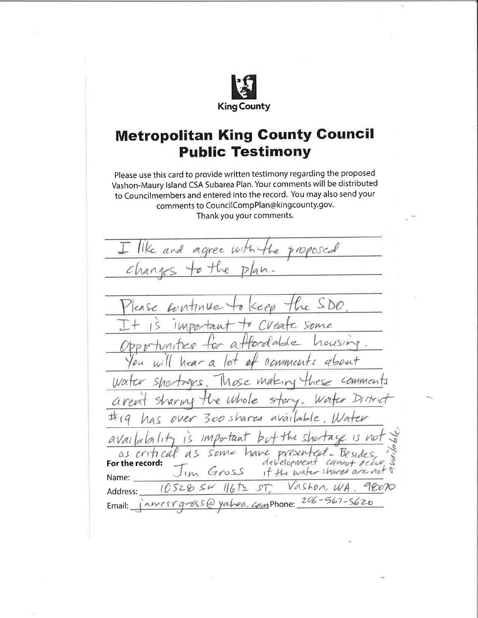